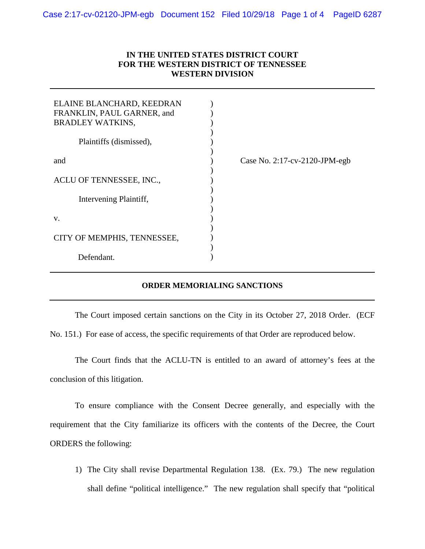## **IN THE UNITED STATES DISTRICT COURT FOR THE WESTERN DISTRICT OF TENNESSEE WESTERN DIVISION**

| ELAINE BLANCHARD, KEEDRAN<br>FRANKLIN, PAUL GARNER, and<br><b>BRADLEY WATKINS,</b> |                               |
|------------------------------------------------------------------------------------|-------------------------------|
| Plaintiffs (dismissed),                                                            |                               |
| and                                                                                | Case No. 2:17-cv-2120-JPM-egb |
| ACLU OF TENNESSEE, INC.,                                                           |                               |
| Intervening Plaintiff,                                                             |                               |
| V.                                                                                 |                               |
| CITY OF MEMPHIS, TENNESSEE,                                                        |                               |
| Defendant.                                                                         |                               |

## **ORDER MEMORIALING SANCTIONS**

The Court imposed certain sanctions on the City in its October 27, 2018 Order. (ECF No. 151.) For ease of access, the specific requirements of that Order are reproduced below.

The Court finds that the ACLU-TN is entitled to an award of attorney's fees at the conclusion of this litigation.

To ensure compliance with the Consent Decree generally, and especially with the requirement that the City familiarize its officers with the contents of the Decree, the Court ORDERS the following:

1) The City shall revise Departmental Regulation 138. (Ex. 79.) The new regulation shall define "political intelligence." The new regulation shall specify that "political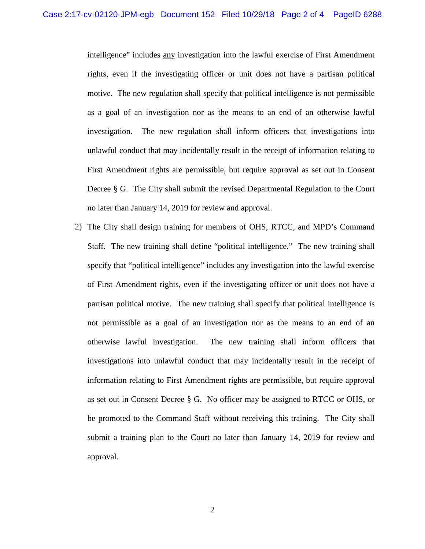intelligence" includes any investigation into the lawful exercise of First Amendment rights, even if the investigating officer or unit does not have a partisan political motive. The new regulation shall specify that political intelligence is not permissible as a goal of an investigation nor as the means to an end of an otherwise lawful investigation. The new regulation shall inform officers that investigations into unlawful conduct that may incidentally result in the receipt of information relating to First Amendment rights are permissible, but require approval as set out in Consent Decree § G. The City shall submit the revised Departmental Regulation to the Court no later than January 14, 2019 for review and approval.

2) The City shall design training for members of OHS, RTCC, and MPD's Command Staff. The new training shall define "political intelligence." The new training shall specify that "political intelligence" includes any investigation into the lawful exercise of First Amendment rights, even if the investigating officer or unit does not have a partisan political motive. The new training shall specify that political intelligence is not permissible as a goal of an investigation nor as the means to an end of an otherwise lawful investigation. The new training shall inform officers that investigations into unlawful conduct that may incidentally result in the receipt of information relating to First Amendment rights are permissible, but require approval as set out in Consent Decree § G. No officer may be assigned to RTCC or OHS, or be promoted to the Command Staff without receiving this training. The City shall submit a training plan to the Court no later than January 14, 2019 for review and approval.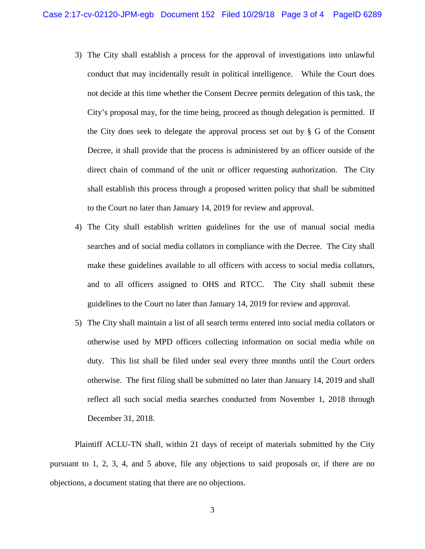- 3) The City shall establish a process for the approval of investigations into unlawful conduct that may incidentally result in political intelligence. While the Court does not decide at this time whether the Consent Decree permits delegation of this task, the City's proposal may, for the time being, proceed as though delegation is permitted. If the City does seek to delegate the approval process set out by  $\S$  G of the Consent Decree, it shall provide that the process is administered by an officer outside of the direct chain of command of the unit or officer requesting authorization. The City shall establish this process through a proposed written policy that shall be submitted to the Court no later than January 14, 2019 for review and approval.
- 4) The City shall establish written guidelines for the use of manual social media searches and of social media collators in compliance with the Decree. The City shall make these guidelines available to all officers with access to social media collators, and to all officers assigned to OHS and RTCC. The City shall submit these guidelines to the Court no later than January 14, 2019 for review and approval.
- 5) The City shall maintain a list of all search terms entered into social media collators or otherwise used by MPD officers collecting information on social media while on duty. This list shall be filed under seal every three months until the Court orders otherwise. The first filing shall be submitted no later than January 14, 2019 and shall reflect all such social media searches conducted from November 1, 2018 through December 31, 2018.

Plaintiff ACLU-TN shall, within 21 days of receipt of materials submitted by the City pursuant to 1, 2, 3, 4, and 5 above, file any objections to said proposals or, if there are no objections, a document stating that there are no objections.